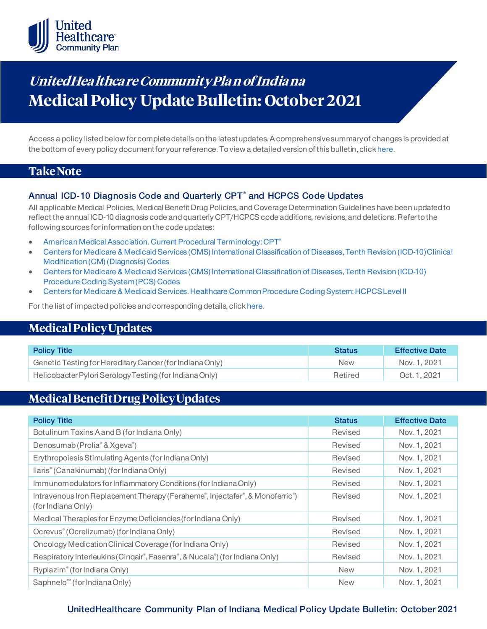

# **UnitedHea lthca re Community Pla n of India na Medical Policy Update Bulletin: October 2021**

Access a policy listed below for complete details on the latest updates. A comprehensive summary of changes is provided at the bottom of every policy document for your reference. To view a detailed version of this bulletin, clic[k here](https://www.uhcprovider.com/content/dam/provider/docs/public/policies/mpub-archives/comm-plan/in/community-plan-in-medical-policy-update-bulletin-october-2021-full.pdf).

### **Take Note**

### **Annual ICD-10 Diagnosis Code and Quarterly CPT® and HCPCS Code Updates**

All applicable Medical Policies, Medical Benefit Drug Policies, and Coverage Determination Guidelines have been updated to reflect the annual ICD-10 diagnosis code and quarterly CPT/HCPCS code additions, revisions, and deletions. Refer to the following sources for information on the code updates:

- [American Medical Association. Current Procedural Terminology: CPT®](https://www.ama-assn.org/practice-management/cpt)
- [Centers for Medicare & Medicaid Services \(CMS\) International Classification of Diseases, Tenth Revision \(ICD-10\) Clinical](https://www.cms.gov/medicare/icd-10/2021-icd-10-cm)  [Modification \(CM\) \(Diagnosis\) Codes](https://www.cms.gov/medicare/icd-10/2021-icd-10-cm)
- [Centers for Medicare & Medicaid Services \(CMS\) International Classification of Diseases, Tenth Revision \(ICD-10\)](https://www.cms.gov/medicare/icd-10/2021-icd-10-pcs)  [Procedure Coding System \(PCS\) Codes](https://www.cms.gov/medicare/icd-10/2021-icd-10-pcs)
- [Centers for Medicare & Medicaid Services. Healthcare Common Procedure Coding System: HCPCS Level II](https://www.cms.gov/Medicare/Coding/MedHCPCSGenInfo/index.html)

For the list of impacted policies and corresponding details, clic[k here](https://www.uhcprovider.com/content/dam/provider/docs/public/policies/mpub-archives/comm-plan/in/community-plan-in-medical-policy-update-bulletin-october-2021-full.pdf).

### **Medical Policy Updates**

| <b>Policy Title</b>                                      | <b>Status</b> | <b>Effective Date</b> |
|----------------------------------------------------------|---------------|-----------------------|
| Genetic Testing for Hereditary Cancer (for Indiana Only) | <b>New</b>    | Nov. 1, 2021          |
| Helicobacter Pylori Serology Testing (for Indiana Only)  | Retired       | Oct. 1, 2021          |

# **Medical Benefit Drug Policy Updates**

| <b>Policy Title</b>                                                                                | <b>Status</b> | <b>Effective Date</b> |
|----------------------------------------------------------------------------------------------------|---------------|-----------------------|
| Botulinum Toxins A and B (for Indiana Only)                                                        | Revised       | Nov. 1, 2021          |
| Denosumab (Prolia <sup>®</sup> & Xgeva <sup>®</sup> )                                              | Revised       | Nov. 1, 2021          |
| Erythropoiesis Stimulating Agents (for Indiana Only)                                               | Revised       | Nov. 1, 2021          |
| llaris <sup>®</sup> (Canakinumab) (for Indiana Only)                                               | Revised       | Nov. 1, 2021          |
| Immunomodulators for Inflammatory Conditions (for Indiana Only)                                    | Revised       | Nov. 1, 2021          |
| Intravenous Iron Replacement Therapy (Feraheme®, Injectafer®, & Monoferric®)<br>(for Indiana Only) | Revised       | Nov. 1, 2021          |
| Medical Therapies for Enzyme Deficiencies (for Indiana Only)                                       | Revised       | Nov. 1, 2021          |
| Ocrevus <sup>®</sup> (Ocrelizumab) (for Indiana Only)                                              | Revised       | Nov. 1, 2021          |
| Oncology Medication Clinical Coverage (for Indiana Only)                                           | Revised       | Nov. 1, 2021          |
| Respiratory Interleukins (Cingair <sup>®</sup> , Fasenra®, & Nucala®) (for Indiana Only)           | Revised       | Nov. 1, 2021          |
| Ryplazim® (for Indiana Only)                                                                       | <b>New</b>    | Nov. 1, 2021          |
| Saphnelo <sup>™</sup> (for Indiana Only)                                                           | <b>New</b>    | Nov. 1, 2021          |

### **UnitedHealthcare Community Plan of Indiana Medical Policy Update Bulletin: October 2021**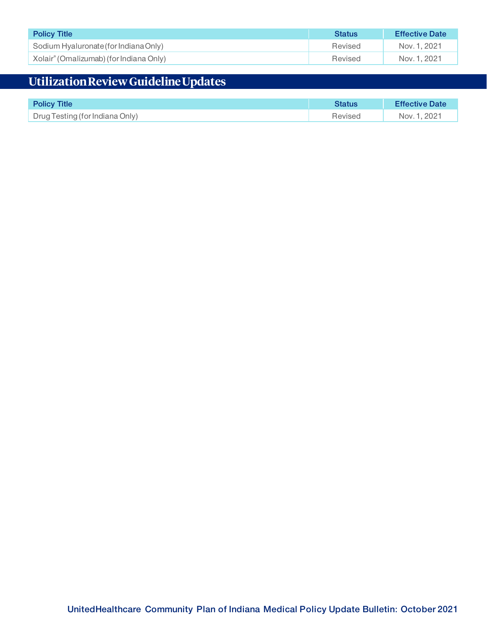| <b>Policy Title</b>                                 | <b>Status</b> | <b>Effective Date</b> |
|-----------------------------------------------------|---------------|-----------------------|
| Sodium Hyaluronate (for Indiana Only)               | Revised       | Nov. 1, 2021          |
| Xolair <sup>®</sup> (Omalizumab) (for Indiana Only) | Revised       | Nov. 1, 2021          |

# **Utilization Review Guideline Updates**

| <b>Policy Title</b>             | <b>Status</b> | <b>Effective Date</b> |
|---------------------------------|---------------|-----------------------|
| Drug Testing (for Indiana Only) | Revised       | Nov. 1, 2021          |